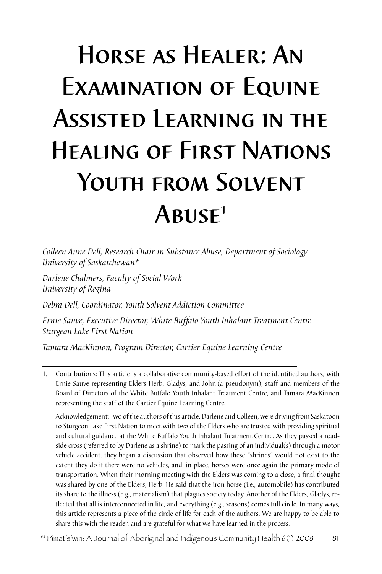# Horse as Healer: An Examination of Equine Assisted Learning in the Healing of First Nations YOUTH FROM SOLVENT  $ABUSE<sup>1</sup>$

*Colleen Anne Dell, Research Chair in Substance Abuse, Department of Sociology University of Saskatchewan\**

*Darlene Chalmers, Faculty of Social Work University of Regina*

*Debra Dell, Coordinator, Youth Solvent Addiction Committee* 

*Ernie Sauve, Executive Director, White Buffalo Youth Inhalant Treatment Centre Sturgeon Lake First Nation*

*Tamara MacKinnon, Program Director, Cartier Equine Learning Centre*

Acknowledgement: Two of the authors of this article, Darlene and Colleen, were driving from Saskatoon to Sturgeon Lake First Nation to meet with two of the Elders who are trusted with providing spiritual and cultural guidance at the White Buffalo Youth Inhalant Treatment Centre. As they passed a roadside cross (referred to by Darlene as a shrine) to mark the passing of an individual(s) through a motor vehicle accident, they began a discussion that observed how these "shrines" would not exist to the extent they do if there were no vehicles, and, in place, horses were once again the primary mode of transportation. When their morning meeting with the Elders was coming to a close, a final thought was shared by one of the Elders, Herb. He said that the iron horse (i.e., automobile) has contributed its share to the illness (e.g., materialism) that plagues society today. Another of the Elders, Gladys, reflected that all is interconnected in life, and everything (e.g., seasons) comes full circle. In many ways, this article represents a piece of the circle of life for each of the authors. We are happy to be able to share this with the reader, and are grateful for what we have learned in the process.

© Pimatisiwin: A Journal of Aboriginal and Indigenous Community Health 6(1) 2008 81

<sup>1.</sup> Contributions: This article is a collaborative community-based effort of the identified authors, with Ernie Sauve representing Elders Herb, Gladys, and John (a pseudonym), staff and members of the Board of Directors of the White Buffalo Youth Inhalant Treatment Centre, and Tamara MacKinnon representing the staff of the Cartier Equine Learning Centre.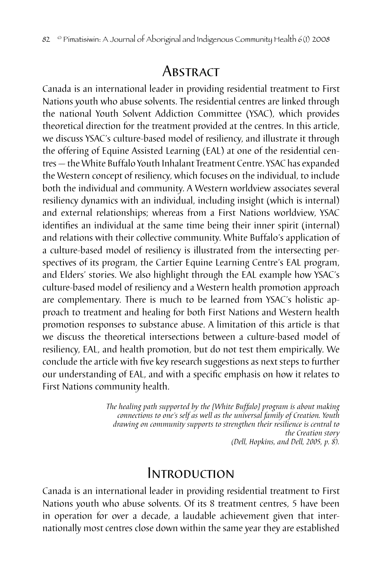### **ABSTRACT**

Canada is an international leader in providing residential treatment to First Nations youth who abuse solvents. The residential centres are linked through the national Youth Solvent Addiction Committee (YSAC), which provides theoretical direction for the treatment provided at the centres. In this article, we discuss YSAC's culture-based model of resiliency, and illustrate it through the offering of Equine Assisted Learning (EAL) at one of the residential centres — the White Buffalo Youth Inhalant Treatment Centre. YSAC has expanded the Western concept of resiliency, which focuses on the individual, to include both the individual and community. A Western worldview associates several resiliency dynamics with an individual, including insight (which is internal) and external relationships; whereas from a First Nations worldview, YSAC identifies an individual at the same time being their inner spirit (internal) and relations with their collective community. White Buffalo's application of a culture-based model of resiliency is illustrated from the intersecting perspectives of its program, the Cartier Equine Learning Centre's EAL program, and Elders' stories. We also highlight through the EAL example how YSAC's culture-based model of resiliency and a Western health promotion approach are complementary. There is much to be learned from YSAC's holistic approach to treatment and healing for both First Nations and Western health promotion responses to substance abuse. A limitation of this article is that we discuss the theoretical intersections between a culture-based model of resiliency, EAL, and health promotion, but do not test them empirically. We conclude the article with five key research suggestions as next steps to further our understanding of EAL, and with a specific emphasis on how it relates to First Nations community health.

> *The healing path supported by the [White Buffalo] program is about making connections to one's self as well as the universal family of Creation. Youth drawing on community supports to strengthen their resilience is central to the Creation story (Dell, Hopkins, and Dell, 2005, p. 8).*

### Introduction

Canada is an international leader in providing residential treatment to First Nations youth who abuse solvents. Of its 8 treatment centres, 5 have been in operation for over a decade, a laudable achievement given that internationally most centres close down within the same year they are established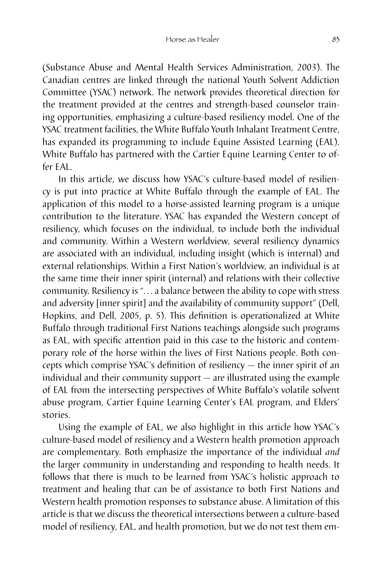(Substance Abuse and Mental Health Services Administration, 2003). The Canadian centres are linked through the national Youth Solvent Addiction Committee (YSAC) network. The network provides theoretical direction for the treatment provided at the centres and strength-based counselor training opportunities, emphasizing a culture-based resiliency model. One of the YSAC treatment facilities, the White Buffalo Youth Inhalant Treatment Centre, has expanded its programming to include Equine Assisted Learning (EAL). White Buffalo has partnered with the Cartier Equine Learning Center to offer EAL.

In this article, we discuss how YSAC's culture-based model of resiliency is put into practice at White Buffalo through the example of EAL. The application of this model to a horse-assisted learning program is a unique contribution to the literature. YSAC has expanded the Western concept of resiliency, which focuses on the individual, to include both the individual and community. Within a Western worldview, several resiliency dynamics are associated with an individual, including insight (which is internal) and external relationships. Within a First Nation's worldview, an individual is at the same time their inner spirit (internal) and relations with their collective community. Resiliency is "... a balance between the ability to cope with stress and adversity [inner spirit] and the availability of community support" (Dell, Hopkins, and Dell, 2005, p. 5). This definition is operationalized at White Buffalo through traditional First Nations teachings alongside such programs as EAL, with specific attention paid in this case to the historic and contemporary role of the horse within the lives of First Nations people. Both concepts which comprise YSAC's definition of resiliency — the inner spirit of an individual and their community support — are illustrated using the example of EAL from the intersecting perspectives of White Buffalo's volatile solvent abuse program, Cartier Equine Learning Center's EAL program, and Elders' stories.

Using the example of EAL, we also highlight in this article how YSAC's culture-based model of resiliency and a Western health promotion approach are complementary. Both emphasize the importance of the individual *and*  the larger community in understanding and responding to health needs. It follows that there is much to be learned from YSAC's holistic approach to treatment and healing that can be of assistance to both First Nations and Western health promotion responses to substance abuse. A limitation of this article is that we discuss the theoretical intersections between a culture-based model of resiliency, EAL, and health promotion, but we do not test them em-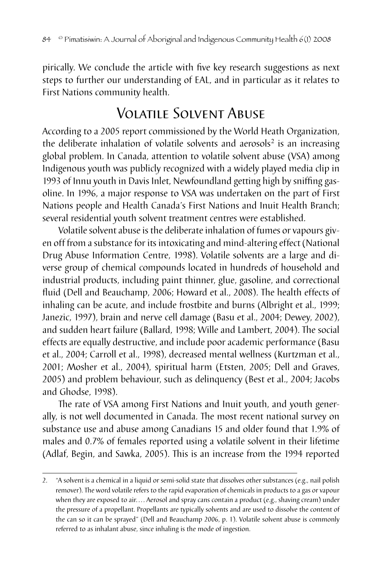pirically. We conclude the article with five key research suggestions as next steps to further our understanding of EAL, and in particular as it relates to First Nations community health.

### Volatile Solvent Abuse

According to a 2005 report commissioned by the World Heath Organization, the deliberate inhalation of volatile solvents and aerosols<sup>2</sup> is an increasing global problem. In Canada, attention to volatile solvent abuse (VSA) among Indigenous youth was publicly recognized with a widely played media clip in 1993 of Innu youth in Davis Inlet, Newfoundland getting high by sniffing gasoline. In 1996, a major response to VSA was undertaken on the part of First Nations people and Health Canada's First Nations and Inuit Health Branch; several residential youth solvent treatment centres were established.

Volatile solvent abuse is the deliberate inhalation of fumes or vapours given off from a substance for its intoxicating and mind-altering effect (National Drug Abuse Information Centre, 1998). Volatile solvents are a large and diverse group of chemical compounds located in hundreds of household and industrial products, including paint thinner, glue, gasoline, and correctional fluid (Dell and Beauchamp, 2006; Howard et al., 2008). The health effects of inhaling can be acute, and include frostbite and burns (Albright et al., 1999; Janezic, 1997), brain and nerve cell damage (Basu et al., 2004; Dewey, 2002), and sudden heart failure (Ballard, 1998; Wille and Lambert, 2004). The social effects are equally destructive, and include poor academic performance (Basu et al., 2004; Carroll et al., 1998), decreased mental wellness (Kurtzman et al., 2001; Mosher et al., 2004), spiritual harm (Etsten, 2005; Dell and Graves, 2005) and problem behaviour, such as delinquency (Best et al., 2004; Jacobs and Ghodse, 1998).

The rate of VSA among First Nations and Inuit youth, and youth generally, is not well documented in Canada. The most recent national survey on substance use and abuse among Canadians 15 and older found that 1.9% of males and 0.7% of females reported using a volatile solvent in their lifetime (Adlaf, Begin, and Sawka, 2005). This is an increase from the 1994 reported

<sup>2.</sup> "A solvent is a chemical in a liquid or semi-solid state that dissolves other substances (e.g., nail polish remover). The word volatile refers to the rapid evaporation of chemicals in products to a gas or vapour when they are exposed to air.... Aerosol and spray cans contain a product (e.g., shaving cream) under the pressure of a propellant. Propellants are typically solvents and are used to dissolve the content of the can so it can be sprayed" (Dell and Beauchamp 2006, p. 1). Volatile solvent abuse is commonly referred to as inhalant abuse, since inhaling is the mode of ingestion.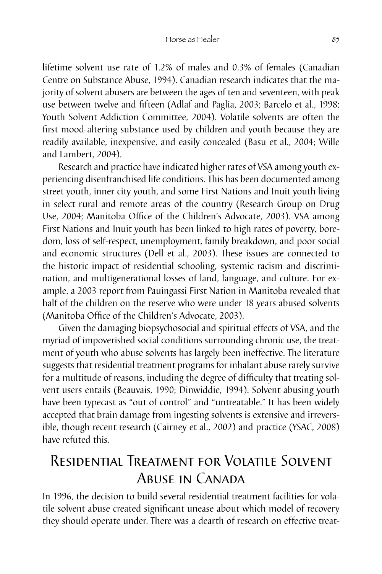lifetime solvent use rate of 1.2% of males and 0.3% of females (Canadian Centre on Substance Abuse, 1994). Canadian research indicates that the majority of solvent abusers are between the ages of ten and seventeen, with peak use between twelve and fifteen (Adlaf and Paglia, 2003; Barcelo et al., 1998; Youth Solvent Addiction Committee, 2004). Volatile solvents are often the first mood-altering substance used by children and youth because they are readily available, inexpensive, and easily concealed (Basu et al., 2004; Wille and Lambert, 2004).

Research and practice have indicated higher rates of VSA among youth experiencing disenfranchised life conditions. This has been documented among street youth, inner city youth, and some First Nations and Inuit youth living in select rural and remote areas of the country (Research Group on Drug Use, 2004; Manitoba Office of the Children's Advocate, 2003). VSA among First Nations and Inuit youth has been linked to high rates of poverty, boredom, loss of self-respect, unemployment, family breakdown, and poor social and economic structures (Dell et al., 2003). These issues are connected to the historic impact of residential schooling, systemic racism and discrimination, and multigenerational losses of land, language, and culture. For example, a 2003 report from Pauingassi First Nation in Manitoba revealed that half of the children on the reserve who were under 18 years abused solvents (Manitoba Office of the Children's Advocate, 2003).

Given the damaging biopsychosocial and spiritual effects of VSA, and the myriad of impoverished social conditions surrounding chronic use, the treatment of youth who abuse solvents has largely been ineffective. The literature suggests that residential treatment programs for inhalant abuse rarely survive for a multitude of reasons, including the degree of difficulty that treating solvent users entails (Beauvais, 1990; Dinwiddie, 1994). Solvent abusing youth have been typecast as "out of control" and "untreatable." It has been widely accepted that brain damage from ingesting solvents is extensive and irreversible, though recent research (Cairney et al., 2002) and practice (YSAC, 2008) have refuted this.

# Residential Treatment for Volatile Solvent ABUSE IN CANADA

In 1996, the decision to build several residential treatment facilities for volatile solvent abuse created significant unease about which model of recovery they should operate under. There was a dearth of research on effective treat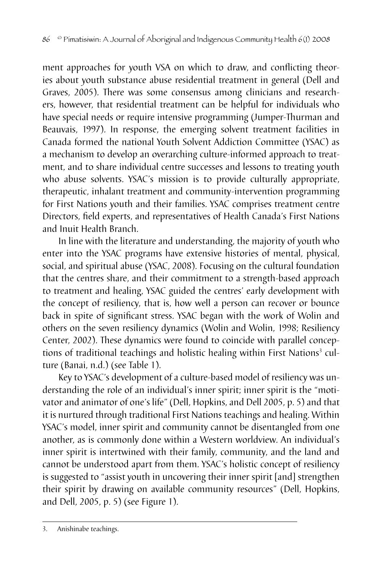ment approaches for youth VSA on which to draw, and conflicting theories about youth substance abuse residential treatment in general (Dell and Graves, 2005). There was some consensus among clinicians and researchers, however, that residential treatment can be helpful for individuals who have special needs or require intensive programming (Jumper-Thurman and Beauvais, 1997). In response, the emerging solvent treatment facilities in Canada formed the national Youth Solvent Addiction Committee (YSAC) as a mechanism to develop an overarching culture-informed approach to treatment, and to share individual centre successes and lessons to treating youth who abuse solvents. YSAC's mission is to provide culturally appropriate, therapeutic, inhalant treatment and community-intervention programming for First Nations youth and their families. YSAC comprises treatment centre Directors, field experts, and representatives of Health Canada's First Nations and Inuit Health Branch.

In line with the literature and understanding, the majority of youth who enter into the YSAC programs have extensive histories of mental, physical, social, and spiritual abuse (YSAC, 2008). Focusing on the cultural foundation that the centres share, and their commitment to a strength-based approach to treatment and healing, YSAC guided the centres' early development with the concept of resiliency, that is, how well a person can recover or bounce back in spite of significant stress. YSAC began with the work of Wolin and others on the seven resiliency dynamics (Wolin and Wolin, 1998; Resiliency Center, 2002). These dynamics were found to coincide with parallel conceptions of traditional teachings and holistic healing within First Nations<sup>3</sup> culture (Banai, n.d.) (see Table 1).

Key to YSAC's development of a culture-based model of resiliency was understanding the role of an individual's inner spirit; inner spirit is the "motivator and animator of one's life" (Dell, Hopkins, and Dell 2005, p. 5) and that it is nurtured through traditional First Nations teachings and healing. Within YSAC's model, inner spirit and community cannot be disentangled from one another, as is commonly done within a Western worldview. An individual's inner spirit is intertwined with their family, community, and the land and cannot be understood apart from them. YSAC's holistic concept of resiliency is suggested to "assist youth in uncovering their inner spirit [and] strengthen their spirit by drawing on available community resources" (Dell, Hopkins, and Dell, 2005, p. 5) (see Figure 1).

<sup>3.</sup> Anishinabe teachings.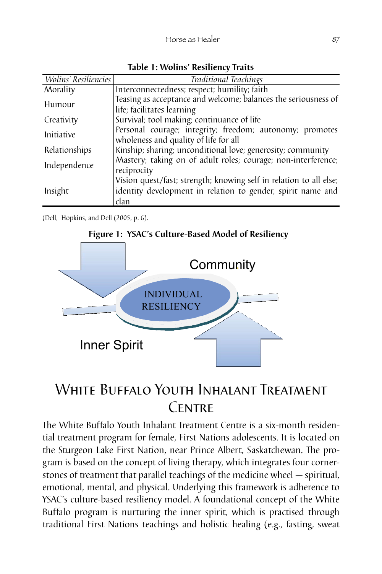| Wolins' Resiliencies | Traditional Teachings                                              |
|----------------------|--------------------------------------------------------------------|
| Morality             | Interconnectedness; respect; humility; faith                       |
| Humour               | Teasing as acceptance and welcome; balances the seriousness of     |
|                      | life; facilitates learning                                         |
| Creativity           | Survival; tool making; continuance of life                         |
| <i>Initiative</i>    | Personal courage; integrity; freedom; autonomy; promotes           |
|                      | wholeness and quality of life for all                              |
| Relationships        | Kinship; sharing; unconditional love; generosity; community        |
| Independence         | Mastery; taking on of adult roles; courage; non-interference;      |
|                      | reciprocity                                                        |
| Insight              | Vision quest/fast; strength; knowing self in relation to all else; |
|                      | identity development in relation to gender, spirit name and        |
|                      | clan                                                               |

**Table 1: Wolins' Resiliency Traits**

(Dell, Hopkins, and Dell (2005, p. 6).



#### **Figure 1: YSAC's Culture-Based Model of Resiliency**

### White Buffalo Youth Inhalant Treatment CENTRE

The White Buffalo Youth Inhalant Treatment Centre is a six-month residential treatment program for female, First Nations adolescents. It is located on the Sturgeon Lake First Nation, near Prince Albert, Saskatchewan. The program is based on the concept of living therapy, which integrates four cornerstones of treatment that parallel teachings of the medicine wheel — spiritual, emotional, mental, and physical. Underlying this framework is adherence to YSAC's culture-based resiliency model. A foundational concept of the White Buffalo program is nurturing the inner spirit, which is practised through traditional First Nations teachings and holistic healing (e.g., fasting, sweat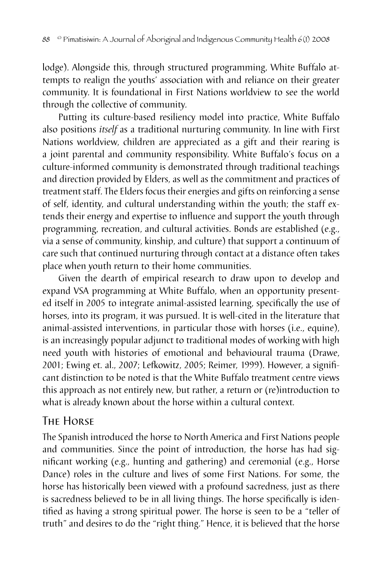lodge). Alongside this, through structured programming, White Buffalo attempts to realign the youths' association with and reliance on their greater community. It is foundational in First Nations worldview to see the world through the collective of community.

Putting its culture-based resiliency model into practice, White Buffalo also positions *itself* as a traditional nurturing community. In line with First Nations worldview, children are appreciated as a gift and their rearing is a joint parental and community responsibility. White Buffalo's focus on a culture-informed community is demonstrated through traditional teachings and direction provided by Elders, as well as the commitment and practices of treatment staff. The Elders focus their energies and gifts on reinforcing a sense of self, identity, and cultural understanding within the youth; the staff extends their energy and expertise to influence and support the youth through programming, recreation, and cultural activities. Bonds are established (e.g., via a sense of community, kinship, and culture) that support a continuum of care such that continued nurturing through contact at a distance often takes place when youth return to their home communities.

Given the dearth of empirical research to draw upon to develop and expand VSA programming at White Buffalo, when an opportunity presented itself in 2005 to integrate animal-assisted learning, specifically the use of horses, into its program, it was pursued. It is well-cited in the literature that animal-assisted interventions, in particular those with horses (i.e., equine), is an increasingly popular adjunct to traditional modes of working with high need youth with histories of emotional and behavioural trauma (Drawe, 2001; Ewing et. al., 2007; Lefkowitz, 2005; Reimer, 1999). However, a significant distinction to be noted is that the White Buffalo treatment centre views this approach as not entirely new, but rather, a return or (re)introduction to what is already known about the horse within a cultural context.

### The Horse

The Spanish introduced the horse to North America and First Nations people and communities. Since the point of introduction, the horse has had significant working (e.g., hunting and gathering) and ceremonial (e.g., Horse Dance) roles in the culture and lives of some First Nations. For some, the horse has historically been viewed with a profound sacredness, just as there is sacredness believed to be in all living things. The horse specifically is identified as having a strong spiritual power. The horse is seen to be a "teller of truth" and desires to do the "right thing." Hence, it is believed that the horse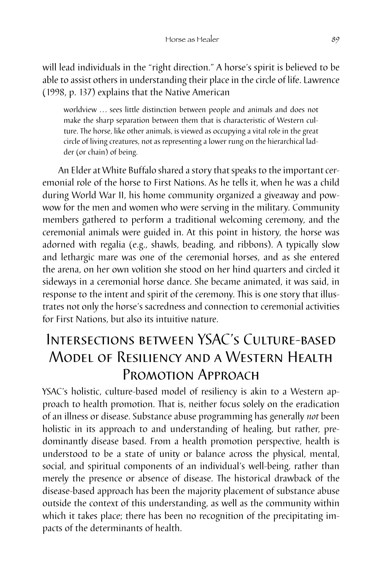will lead individuals in the "right direction." A horse's spirit is believed to be able to assist others in understanding their place in the circle of life. Lawrence (1998, p. 137) explains that the Native American

worldview ... sees little distinction between people and animals and does not make the sharp separation between them that is characteristic of Western culture. The horse, like other animals, is viewed as occupying a vital role in the great circle of living creatures, not as representing a lower rung on the hierarchical ladder (or chain) of being.

An Elder at White Buffalo shared a story that speaks to the important ceremonial role of the horse to First Nations. As he tells it, when he was a child during World War II, his home community organized a giveaway and powwow for the men and women who were serving in the military. Community members gathered to perform a traditional welcoming ceremony, and the ceremonial animals were guided in. At this point in history, the horse was adorned with regalia (e.g., shawls, beading, and ribbons). A typically slow and lethargic mare was one of the ceremonial horses, and as she entered the arena, on her own volition she stood on her hind quarters and circled it sideways in a ceremonial horse dance. She became animated, it was said, in response to the intent and spirit of the ceremony. This is one story that illustrates not only the horse's sacredness and connection to ceremonial activities for First Nations, but also its intuitive nature.

### Intersections between YSAC's Culture-based Model of Resiliency and a Western Health Promotion Approach

YSAC's holistic, culture-based model of resiliency is akin to a Western approach to health promotion. That is, neither focus solely on the eradication of an illness or disease. Substance abuse programming has generally *not* been holistic in its approach to and understanding of healing, but rather, predominantly disease based. From a health promotion perspective, health is understood to be a state of unity or balance across the physical, mental, social, and spiritual components of an individual's well-being, rather than merely the presence or absence of disease. The historical drawback of the disease-based approach has been the majority placement of substance abuse outside the context of this understanding, as well as the community within which it takes place; there has been no recognition of the precipitating impacts of the determinants of health.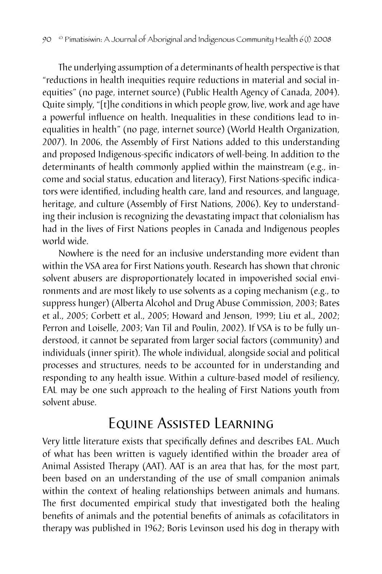The underlying assumption of a determinants of health perspective is that "reductions in health inequities require reductions in material and social inequities" (no page, internet source) (Public Health Agency of Canada, 2004). Quite simply, "[t]he conditions in which people grow, live, work and age have a powerful influence on health. Inequalities in these conditions lead to inequalities in health" (no page, internet source) (World Health Organization, 2007). In 2006, the Assembly of First Nations added to this understanding and proposed Indigenous-specific indicators of well-being. In addition to the determinants of health commonly applied within the mainstream (e.g., income and social status, education and literacy), First Nations-specific indicators were identified, including health care, land and resources, and language, heritage, and culture (Assembly of First Nations, 2006). Key to understanding their inclusion is recognizing the devastating impact that colonialism has had in the lives of First Nations peoples in Canada and Indigenous peoples world wide.

Nowhere is the need for an inclusive understanding more evident than within the VSA area for First Nations youth. Research has shown that chronic solvent abusers are disproportionately located in impoverished social environments and are most likely to use solvents as a coping mechanism (e.g., to suppress hunger) (Alberta Alcohol and Drug Abuse Commission, 2003; Bates et al., 2005; Corbett et al., 2005; Howard and Jenson, 1999; Liu et al., 2002; Perron and Loiselle, 2003; Van Til and Poulin, 2002). If VSA is to be fully understood, it cannot be separated from larger social factors (community) and individuals (inner spirit). The whole individual, alongside social and political processes and structures, needs to be accounted for in understanding and responding to any health issue. Within a culture-based model of resiliency, EAL may be one such approach to the healing of First Nations youth from solvent abuse.

### Equine Assisted Learning

Very little literature exists that specifically defines and describes EAL. Much of what has been written is vaguely identified within the broader area of Animal Assisted Therapy (AAT). AAT is an area that has, for the most part, been based on an understanding of the use of small companion animals within the context of healing relationships between animals and humans. The first documented empirical study that investigated both the healing benefits of animals and the potential benefits of animals as cofacilitators in therapy was published in 1962; Boris Levinson used his dog in therapy with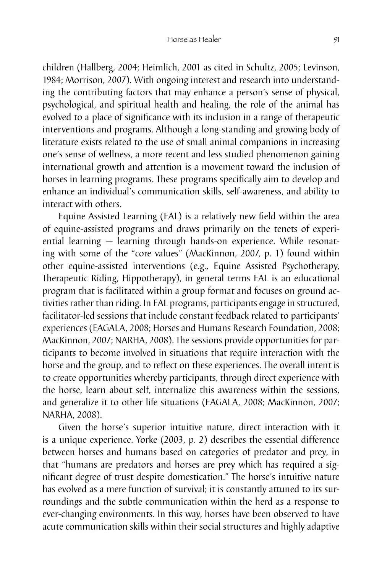children (Hallberg, 2004; Heimlich, 2001 as cited in Schultz, 2005; Levinson, 1984; Morrison, 2007). With ongoing interest and research into understanding the contributing factors that may enhance a person's sense of physical, psychological, and spiritual health and healing, the role of the animal has evolved to a place of significance with its inclusion in a range of therapeutic interventions and programs. Although a long-standing and growing body of literature exists related to the use of small animal companions in increasing one's sense of wellness, a more recent and less studied phenomenon gaining international growth and attention is a movement toward the inclusion of horses in learning programs. These programs specifically aim to develop and enhance an individual's communication skills, self-awareness, and ability to interact with others.

Equine Assisted Learning (EAL) is a relatively new field within the area of equine-assisted programs and draws primarily on the tenets of experiential learning — learning through hands-on experience. While resonating with some of the "core values" (MacKinnon, 2007, p. 1) found within other equine-assisted interventions (e.g., Equine Assisted Psychotherapy, Therapeutic Riding, Hippotherapy), in general terms EAL is an educational program that is facilitated within a group format and focuses on ground activities rather than riding. In EAL programs, participants engage in structured, facilitator-led sessions that include constant feedback related to participants' experiences (EAGALA, 2008; Horses and Humans Research Foundation, 2008; MacKinnon, 2007; NARHA, 2008). The sessions provide opportunities for participants to become involved in situations that require interaction with the horse and the group, and to reflect on these experiences. The overall intent is to create opportunities whereby participants, through direct experience with the horse, learn about self, internalize this awareness within the sessions, and generalize it to other life situations (EAGALA, 2008; MacKinnon, 2007; NARHA, 2008).

Given the horse's superior intuitive nature, direct interaction with it is a unique experience. Yorke (2003, p. 2) describes the essential difference between horses and humans based on categories of predator and prey, in that "humans are predators and horses are prey which has required a significant degree of trust despite domestication." The horse's intuitive nature has evolved as a mere function of survival; it is constantly attuned to its surroundings and the subtle communication within the herd as a response to ever-changing environments. In this way, horses have been observed to have acute communication skills within their social structures and highly adaptive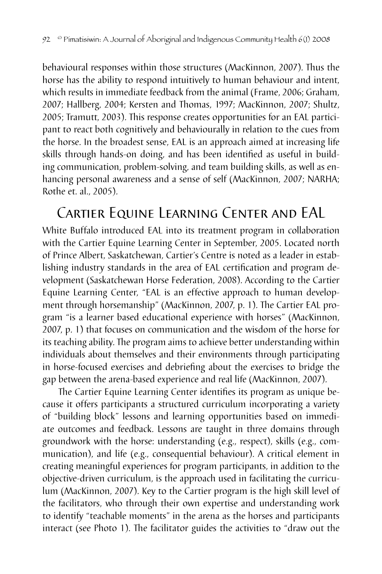behavioural responses within those structures (MacKinnon, 2007). Thus the horse has the ability to respond intuitively to human behaviour and intent, which results in immediate feedback from the animal (Frame, 2006; Graham, 2007; Hallberg, 2004; Kersten and Thomas, 1997; MacKinnon, 2007; Shultz, 2005; Tramutt, 2003). This response creates opportunities for an EAL participant to react both cognitively and behaviourally in relation to the cues from the horse. In the broadest sense, EAL is an approach aimed at increasing life skills through hands-on doing, and has been identified as useful in building communication, problem-solving, and team building skills, as well as enhancing personal awareness and a sense of self (MacKinnon, 2007; NARHA; Rothe et. al., 2005).

# Cartier Equine Learning Center and EAL

White Buffalo introduced EAL into its treatment program in collaboration with the Cartier Equine Learning Center in September, 2005. Located north of Prince Albert, Saskatchewan, Cartier's Centre is noted as a leader in establishing industry standards in the area of EAL certification and program development (Saskatchewan Horse Federation, 2008). According to the Cartier Equine Learning Center, "EAL is an effective approach to human development through horsemanship" (MacKinnon, 2007, p. 1). The Cartier EAL program "is a learner based educational experience with horses" (MacKinnon, 2007, p. 1) that focuses on communication and the wisdom of the horse for its teaching ability. The program aims to achieve better understanding within individuals about themselves and their environments through participating in horse-focused exercises and debriefing about the exercises to bridge the gap between the arena-based experience and real life (MacKinnon, 2007).

The Cartier Equine Learning Center identifies its program as unique because it offers participants a structured curriculum incorporating a variety of "building block" lessons and learning opportunities based on immediate outcomes and feedback. Lessons are taught in three domains through groundwork with the horse: understanding (e.g., respect), skills (e.g., communication), and life (e.g., consequential behaviour). A critical element in creating meaningful experiences for program participants, in addition to the objective-driven curriculum, is the approach used in facilitating the curriculum (MacKinnon, 2007). Key to the Cartier program is the high skill level of the facilitators, who through their own expertise and understanding work to identify "teachable moments" in the arena as the horses and participants interact (see Photo 1). The facilitator guides the activities to "draw out the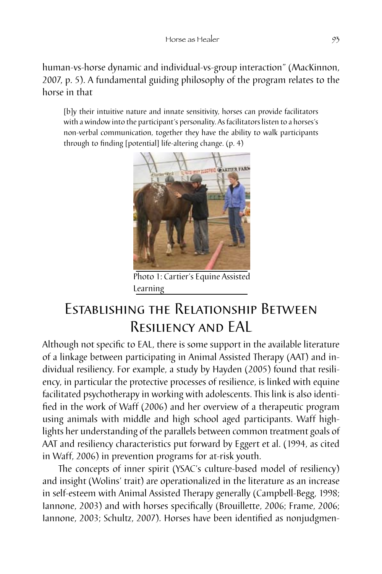human-vs-horse dynamic and individual-vs-group interaction" (MacKinnon, 2007, p. 5). A fundamental guiding philosophy of the program relates to the horse in that

[b]y their intuitive nature and innate sensitivity, horses can provide facilitators with a window into the participant's personality. As facilitators listen to a horses's non-verbal communication, together they have the ability to walk participants through to finding [potential] life-altering change. (p. 4)



Photo 1: Cartier's Equine Assisted Learning

# Establishing the Relationship Between Resiliency and EAL

Although not specific to EAL, there is some support in the available literature of a linkage between participating in Animal Assisted Therapy (AAT) and individual resiliency. For example, a study by Hayden (2005) found that resiliency, in particular the protective processes of resilience, is linked with equine facilitated psychotherapy in working with adolescents. This link is also identified in the work of Waff (2006) and her overview of a therapeutic program using animals with middle and high school aged participants. Waff highlights her understanding of the parallels between common treatment goals of AAT and resiliency characteristics put forward by Eggert et al. (1994, as cited in Waff, 2006) in prevention programs for at-risk youth.

The concepts of inner spirit (YSAC's culture-based model of resiliency) and insight (Wolins' trait) are operationalized in the literature as an increase in self-esteem with Animal Assisted Therapy generally (Campbell-Begg, 1998; Iannone, 2003) and with horses specifically (Brouillette, 2006; Frame, 2006; Iannone, 2003; Schultz, 2007). Horses have been identified as nonjudgmen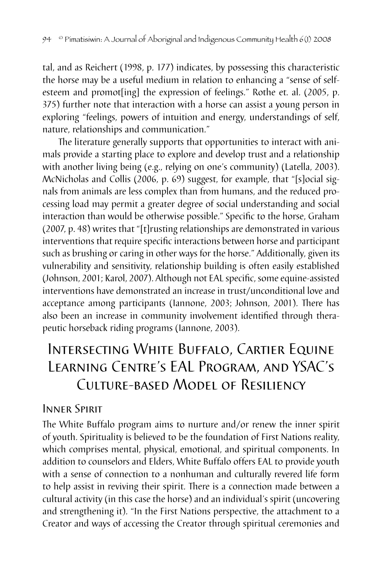tal, and as Reichert (1998, p. 177) indicates, by possessing this characteristic the horse may be a useful medium in relation to enhancing a "sense of selfesteem and promot[ing] the expression of feelings." Rothe et. al. (2005, p. 375) further note that interaction with a horse can assist a young person in exploring "feelings, powers of intuition and energy, understandings of self, nature, relationships and communication."

The literature generally supports that opportunities to interact with animals provide a starting place to explore and develop trust and a relationship with another living being (e.g., relying on one's community) (Latella, 2003). McNicholas and Collis (2006, p. 69) suggest, for example, that "[s]ocial signals from animals are less complex than from humans, and the reduced processing load may permit a greater degree of social understanding and social interaction than would be otherwise possible." Specific to the horse, Graham (2007, p. 48) writes that "[t]rusting relationships are demonstrated in various interventions that require specific interactions between horse and participant such as brushing or caring in other ways for the horse." Additionally, given its vulnerability and sensitivity, relationship building is often easily established (Johnson, 2001; Karol, 2007). Although not EAL specific, some equine-assisted interventions have demonstrated an increase in trust/unconditional love and acceptance among participants (Iannone, 2003; Johnson, 2001). There has also been an increase in community involvement identified through therapeutic horseback riding programs (Iannone, 2003).

# Intersecting White Buffalo, Cartier Equine Learning Centre's EAL Program, and YSAC's Culture-based Model of Resiliency

#### Inner Spirit

The White Buffalo program aims to nurture and/or renew the inner spirit of youth. Spirituality is believed to be the foundation of First Nations reality, which comprises mental, physical, emotional, and spiritual components. In addition to counselors and Elders, White Buffalo offers EAL to provide youth with a sense of connection to a nonhuman and culturally revered life form to help assist in reviving their spirit. There is a connection made between a cultural activity (in this case the horse) and an individual's spirit (uncovering and strengthening it). "In the First Nations perspective, the attachment to a Creator and ways of accessing the Creator through spiritual ceremonies and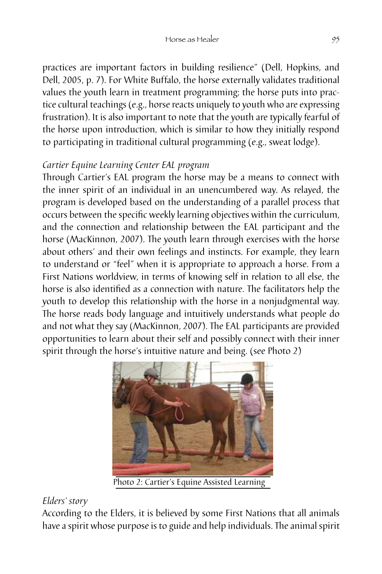practices are important factors in building resilience" (Dell, Hopkins, and Dell, 2005, p. 7). For White Buffalo, the horse externally validates traditional values the youth learn in treatment programming; the horse puts into practice cultural teachings (e.g., horse reacts uniquely to youth who are expressing frustration). It is also important to note that the youth are typically fearful of the horse upon introduction, which is similar to how they initially respond to participating in traditional cultural programming (e.g., sweat lodge).

#### *Cartier Equine Learning Center EAL program*

Through Cartier's EAL program the horse may be a means to connect with the inner spirit of an individual in an unencumbered way. As relayed, the program is developed based on the understanding of a parallel process that occurs between the specific weekly learning objectives within the curriculum, and the connection and relationship between the EAL participant and the horse (MacKinnon, 2007). The youth learn through exercises with the horse about others' and their own feelings and instincts. For example, they learn to understand or "feel" when it is appropriate to approach a horse. From a First Nations worldview, in terms of knowing self in relation to all else, the horse is also identified as a connection with nature. The facilitators help the youth to develop this relationship with the horse in a nonjudgmental way. The horse reads body language and intuitively understands what people do and not what they say (MacKinnon, 2007). The EAL participants are provided opportunities to learn about their self and possibly connect with their inner spirit through the horse's intuitive nature and being. (see Photo 2)



Photo 2: Cartier's Equine Assisted Learning

#### *Elders' story*

According to the Elders, it is believed by some First Nations that all animals have a spirit whose purpose is to guide and help individuals. The animal spirit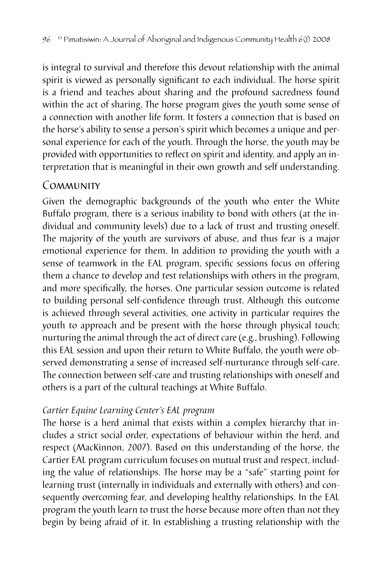is integral to survival and therefore this devout relationship with the animal spirit is viewed as personally significant to each individual. The horse spirit is a friend and teaches about sharing and the profound sacredness found within the act of sharing. The horse program gives the youth some sense of a connection with another life form. It fosters a connection that is based on the horse's ability to sense a person's spirit which becomes a unique and personal experience for each of the youth. Through the horse, the youth may be provided with opportunities to reflect on spirit and identity, and apply an interpretation that is meaningful in their own growth and self understanding.

#### **COMMUNITY**

Given the demographic backgrounds of the youth who enter the White Buffalo program, there is a serious inability to bond with others (at the individual and community levels) due to a lack of trust and trusting oneself. The majority of the youth are survivors of abuse, and thus fear is a major emotional experience for them. In addition to providing the youth with a sense of teamwork in the EAL program, specific sessions focus on offering them a chance to develop and test relationships with others in the program, and more specifically, the horses. One particular session outcome is related to building personal self-confidence through trust. Although this outcome is achieved through several activities, one activity in particular requires the youth to approach and be present with the horse through physical touch; nurturing the animal through the act of direct care (e.g., brushing). Following this EAL session and upon their return to White Buffalo, the youth were observed demonstrating a sense of increased self-nurturance through self-care. The connection between self-care and trusting relationships with oneself and others is a part of the cultural teachings at White Buffalo.

#### *Cartier Equine Learning Center's EAL program*

The horse is a herd animal that exists within a complex hierarchy that includes a strict social order, expectations of behaviour within the herd, and respect (MacKinnon, 2007). Based on this understanding of the horse, the Cartier EAL program curriculum focuses on mutual trust and respect, including the value of relationships. The horse may be a "safe" starting point for learning trust (internally in individuals and externally with others) and consequently overcoming fear, and developing healthy relationships. In the EAL program the youth learn to trust the horse because more often than not they begin by being afraid of it. In establishing a trusting relationship with the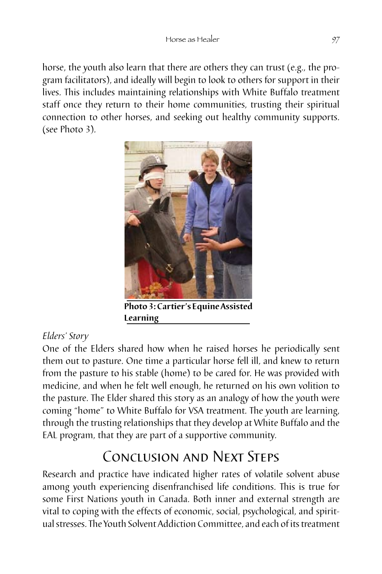horse, the youth also learn that there are others they can trust (e.g., the program facilitators), and ideally will begin to look to others for support in their lives. This includes maintaining relationships with White Buffalo treatment staff once they return to their home communities, trusting their spiritual connection to other horses, and seeking out healthy community supports. (see Photo 3).



**Photo 3: Cartier's Equine Assisted Learning**

### *Elders' Story*

One of the Elders shared how when he raised horses he periodically sent them out to pasture. One time a particular horse fell ill, and knew to return from the pasture to his stable (home) to be cared for. He was provided with medicine, and when he felt well enough, he returned on his own volition to the pasture. The Elder shared this story as an analogy of how the youth were coming "home" to White Buffalo for VSA treatment. The youth are learning, through the trusting relationships that they develop at White Buffalo and the EAL program, that they are part of a supportive community.

# Conclusion and Next Steps

Research and practice have indicated higher rates of volatile solvent abuse among youth experiencing disenfranchised life conditions. This is true for some First Nations youth in Canada. Both inner and external strength are vital to coping with the effects of economic, social, psychological, and spiritual stresses. The Youth Solvent Addiction Committee, and each of its treatment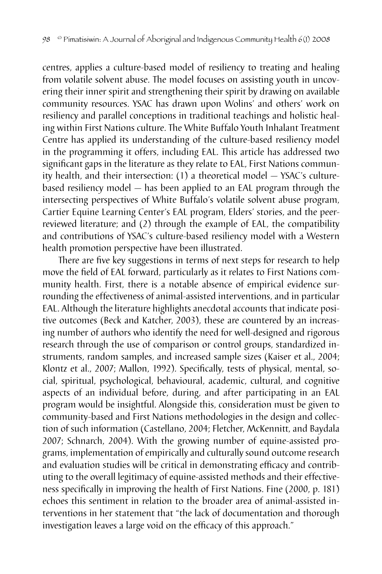centres, applies a culture-based model of resiliency to treating and healing from volatile solvent abuse. The model focuses on assisting youth in uncovering their inner spirit and strengthening their spirit by drawing on available community resources. YSAC has drawn upon Wolins' and others' work on resiliency and parallel conceptions in traditional teachings and holistic healing within First Nations culture. The White Buffalo Youth Inhalant Treatment Centre has applied its understanding of the culture-based resiliency model in the programming it offers, including EAL. This article has addressed two significant gaps in the literature as they relate to EAL, First Nations community health, and their intersection: (1) a theoretical model — YSAC's culturebased resiliency model — has been applied to an EAL program through the intersecting perspectives of White Buffalo's volatile solvent abuse program, Cartier Equine Learning Center's EAL program, Elders' stories, and the peerreviewed literature; and (2) through the example of EAL, the compatibility and contributions of YSAC's culture-based resiliency model with a Western health promotion perspective have been illustrated.

There are five key suggestions in terms of next steps for research to help move the field of EAL forward, particularly as it relates to First Nations community health. First, there is a notable absence of empirical evidence surrounding the effectiveness of animal-assisted interventions, and in particular EAL. Although the literature highlights anecdotal accounts that indicate positive outcomes (Beck and Katcher, 2003), these are countered by an increasing number of authors who identify the need for well-designed and rigorous research through the use of comparison or control groups, standardized instruments, random samples, and increased sample sizes (Kaiser et al., 2004; Klontz et al., 2007; Mallon, 1992). Specifically, tests of physical, mental, social, spiritual, psychological, behavioural, academic, cultural, and cognitive aspects of an individual before, during, and after participating in an EAL program would be insightful. Alongside this, consideration must be given to community-based and First Nations methodologies in the design and collection of such information (Castellano, 2004; Fletcher, McKennitt, and Baydala 2007; Schnarch, 2004). With the growing number of equine-assisted programs, implementation of empirically and culturally sound outcome research and evaluation studies will be critical in demonstrating efficacy and contributing to the overall legitimacy of equine-assisted methods and their effectiveness specifically in improving the health of First Nations. Fine (2000, p. 181) echoes this sentiment in relation to the broader area of animal-assisted interventions in her statement that "the lack of documentation and thorough investigation leaves a large void on the efficacy of this approach."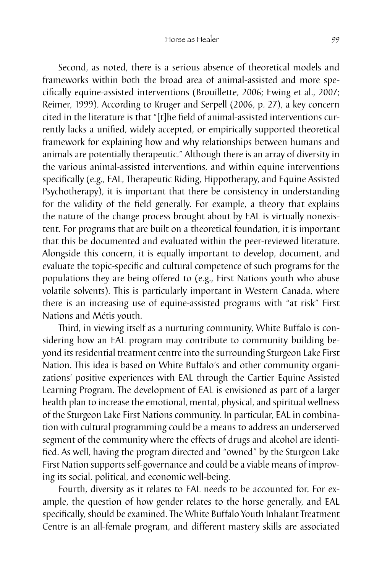Second, as noted, there is a serious absence of theoretical models and frameworks within both the broad area of animal-assisted and more specifically equine-assisted interventions (Brouillette, 2006; Ewing et al., 2007; Reimer, 1999). According to Kruger and Serpell (2006, p. 27), a key concern cited in the literature is that "[t]he field of animal-assisted interventions currently lacks a unified, widely accepted, or empirically supported theoretical framework for explaining how and why relationships between humans and animals are potentially therapeutic." Although there is an array of diversity in the various animal-assisted interventions, and within equine interventions specifically (e.g., EAL, Therapeutic Riding, Hippotherapy, and Equine Assisted Psychotherapy), it is important that there be consistency in understanding for the validity of the field generally. For example, a theory that explains the nature of the change process brought about by EAL is virtually nonexistent. For programs that are built on a theoretical foundation, it is important that this be documented and evaluated within the peer-reviewed literature. Alongside this concern, it is equally important to develop, document, and evaluate the topic-specific and cultural competence of such programs for the populations they are being offered to (e.g., First Nations youth who abuse volatile solvents). This is particularly important in Western Canada, where there is an increasing use of equine-assisted programs with "at risk" First Nations and Métis youth.

Third, in viewing itself as a nurturing community, White Buffalo is considering how an EAL program may contribute to community building beyond its residential treatment centre into the surrounding Sturgeon Lake First Nation. This idea is based on White Buffalo's and other community organizations' positive experiences with EAL through the Cartier Equine Assisted Learning Program. The development of EAL is envisioned as part of a larger health plan to increase the emotional, mental, physical, and spiritual wellness of the Sturgeon Lake First Nations community. In particular, EAL in combination with cultural programming could be a means to address an underserved segment of the community where the effects of drugs and alcohol are identified. As well, having the program directed and "owned" by the Sturgeon Lake First Nation supports self-governance and could be a viable means of improving its social, political, and economic well-being.

Fourth, diversity as it relates to EAL needs to be accounted for. For example, the question of how gender relates to the horse generally, and EAL specifically, should be examined. The White Buffalo Youth Inhalant Treatment Centre is an all-female program, and different mastery skills are associated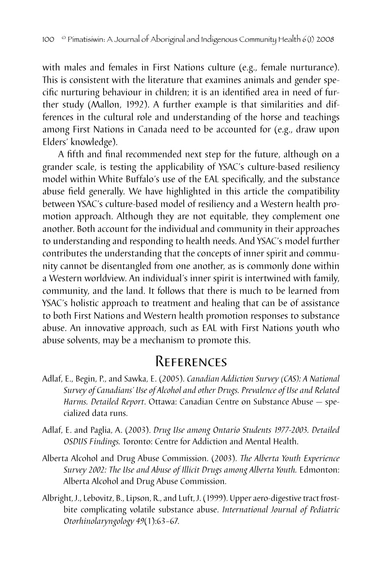with males and females in First Nations culture (e.g., female nurturance). This is consistent with the literature that examines animals and gender specific nurturing behaviour in children; it is an identified area in need of further study (Mallon, 1992). A further example is that similarities and differences in the cultural role and understanding of the horse and teachings among First Nations in Canada need to be accounted for (e.g., draw upon Elders' knowledge).

A fifth and final recommended next step for the future, although on a grander scale, is testing the applicability of YSAC's culture-based resiliency model within White Buffalo's use of the EAL specifically, and the substance abuse field generally. We have highlighted in this article the compatibility between YSAC's culture-based model of resiliency and a Western health promotion approach. Although they are not equitable, they complement one another. Both account for the individual and community in their approaches to understanding and responding to health needs. And YSAC's model further contributes the understanding that the concepts of inner spirit and community cannot be disentangled from one another, as is commonly done within a Western worldview. An individual's inner spirit is intertwined with family, community, and the land. It follows that there is much to be learned from YSAC's holistic approach to treatment and healing that can be of assistance to both First Nations and Western health promotion responses to substance abuse. An innovative approach, such as EAL with First Nations youth who abuse solvents, may be a mechanism to promote this.

### References

- Adlaf, E., Begin, P., and Sawka, E. (2005). *Canadian Addiction Survey (CAS): A National Survey of Canadians' Use of Alcohol and other Drugs. Prevalence of Use and Related Harms. Detailed Report*. Ottawa: Canadian Centre on Substance Abuse — specialized data runs.
- Adlaf, E. and Paglia, A. (2003). *Drug Use among Ontario Students 1977-2003. Detailed OSDUS Findings.* Toronto: Centre for Addiction and Mental Health.
- Alberta Alcohol and Drug Abuse Commission. (2003). *The Alberta Youth Experience Survey 2002: The Use and Abuse of Illicit Drugs among Alberta Youth.* Edmonton: Alberta Alcohol and Drug Abuse Commission.
- Albright, J., Lebovitz, B., Lipson, R., and Luft, J. (1999). Upper aero-digestive tract frostbite complicating volatile substance abuse. *International Journal of Pediatric Otorhinolaryngology 49*(1):63–67.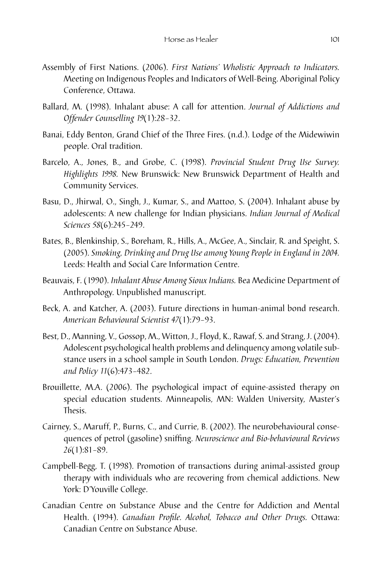- Assembly of First Nations. (2006). *First Nations' Wholistic Approach to Indicators.* Meeting on Indigenous Peoples and Indicators of Well-Being. Aboriginal Policy Conference, Ottawa.
- Ballard, M. (1998). Inhalant abuse: A call for attention. *Journal of Addictions and Offender Counselling 19*(1):28–32.
- Banai, Eddy Benton, Grand Chief of the Three Fires. (n.d.). Lodge of the Midewiwin people. Oral tradition.
- Barcelo, A., Jones, B., and Grobe, C. (1998). *Provincial Student Drug Use Survey. Highlights 1998.* New Brunswick: New Brunswick Department of Health and Community Services.
- Basu, D., Jhirwal, O., Singh, J., Kumar, S., and Mattoo, S. (2004). Inhalant abuse by adolescents: A new challenge for Indian physicians. *Indian Journal of Medical Sciences 58*(6):245–249.
- Bates, B., Blenkinship, S., Boreham, R., Hills, A., McGee, A., Sinclair, R. and Speight, S. (2005). *Smoking, Drinking and Drug Use among Young People in England in 2004.* Leeds: Health and Social Care Information Centre.
- Beauvais, F. (1990). *Inhalant Abuse Among Sioux Indians.* Bea Medicine Department of Anthropology. Unpublished manuscript.
- Beck, A. and Katcher, A. (2003). Future directions in human-animal bond research. *American Behavioural Scientist 47*(1):79–93.
- Best, D., Manning, V., Gossop, M., Witton, J., Floyd, K., Rawaf, S. and Strang, J. (2004). Adolescent psychological health problems and delinquency among volatile substance users in a school sample in South London. *Drugs: Education, Prevention and Policy 11*(6):473–482.
- Brouillette, M.A. (2006). The psychological impact of equine-assisted therapy on special education students. Minneapolis, MN: Walden University, Master's Thesis.
- Cairney, S., Maruff, P., Burns, C., and Currie, B. (2002). The neurobehavioural consequences of petrol (gasoline) sniffing. *Neuroscience and Bio-behavioural Reviews 26*(1):81–89.
- Campbell-Begg, T. (1998). Promotion of transactions during animal-assisted group therapy with individuals who are recovering from chemical addictions. New York: D'Youville College.
- Canadian Centre on Substance Abuse and the Centre for Addiction and Mental Health. (1994). *Canadian Profile. Alcohol, Tobacco and Other Drugs.* Ottawa: Canadian Centre on Substance Abuse.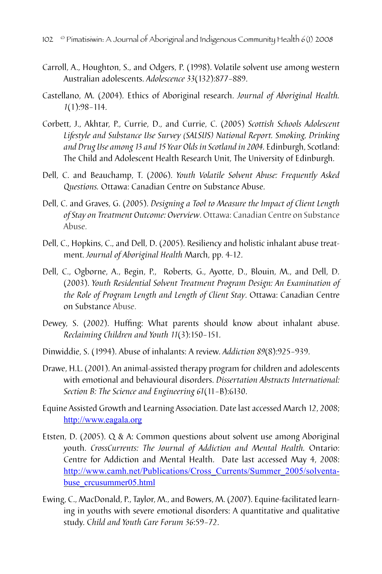- Carroll, A., Houghton, S., and Odgers, P. (1998). Volatile solvent use among western Australian adolescents. *Adolescence 33*(132):877–889.
- Castellano, M. (2004). Ethics of Aboriginal research. *Journal of Aboriginal Health. 1*(1):98–114.
- Corbett, J., Akhtar, P., Currie, D., and Currie, C. (2005) *Scottish Schools Adolescent Lifestyle and Substance Use Survey (SALSUS) National Report. Smoking, Drinking and Drug Use among 13 and 15 Year Olds in Scotland in 2004.* Edinburgh, Scotland: The Child and Adolescent Health Research Unit, The University of Edinburgh.
- Dell, C. and Beauchamp, T. (2006). *Youth Volatile Solvent Abuse: Frequently Asked Questions.* Ottawa: Canadian Centre on Substance Abuse.
- Dell, C. and Graves, G. (2005). *[Designing a Tool to Measure the Impact of Client Length](http://www.ccsa.ca/NR/rdonlyres/7B49ADE0-C77F-4B2C-AA08-E6F053C2095A/0/ccsa0111382005.pdf) [of Stay on Treatment Outcome: Overview](http://www.ccsa.ca/NR/rdonlyres/7B49ADE0-C77F-4B2C-AA08-E6F053C2095A/0/ccsa0111382005.pdf)*. Ottawa: Canadian Centre on Substance Abuse.
- Dell, C., Hopkins, C., and Dell, D. (2005). Resiliency and holistic inhalant abuse treatment. *Journal of Aboriginal Health* March, pp. 4-12.
- Dell, C., Ogborne, A., Begin, P., Roberts, G., Ayotte, D., Blouin, M., and Dell, D. (2003). *[Youth Residential Solvent Treatment Program Design: An Examination of](http://www.ccsa.ca/NR/rdonlyres/6BB1F5C1-64FC-4920-80EE-6F1E6DD061F1/0/extl0038812003.pdf) [the Role of Program Length and Length of Client Stay](http://www.ccsa.ca/NR/rdonlyres/6BB1F5C1-64FC-4920-80EE-6F1E6DD061F1/0/extl0038812003.pdf)*. Ottawa: Canadian Centre on Substance Abuse.
- Dewey, S. (2002). Huffing: What parents should know about inhalant abuse. *Reclaiming Children and Youth 11*(3):150–151.
- Dinwiddie, S. (1994). Abuse of inhalants: A review. *Addiction 89*(8):925–939.
- Drawe, H.L. (2001). An animal-assisted therapy program for children and adolescents with emotional and behavioural disorders. *Dissertation Abstracts International: Section B: The Science and Engineering 61*(11–B):6130.
- Equine Assisted Growth and Learning Association. Date last accessed March 12, 2008; <http://www.eagala.org>
- Etsten, D. (2005). Q & A: Common questions about solvent use among Aboriginal youth. *CrossCurrents: The Journal of Addiction and Mental Health.* Ontario: Centre for Addiction and Mental Health. Date last accessed May 4, 2008: http://www.camh.net/Publications/Cross\_Currents/Summer\_2005/solventabuse\_crcusummer05.html
- Ewing, C., MacDonald, P., Taylor, M., and Bowers, M. (2007). Equine-facilitated learning in youths with severe emotional disorders: A quantitative and qualitative study. C*hild and Youth Care Forum 36*:59–72.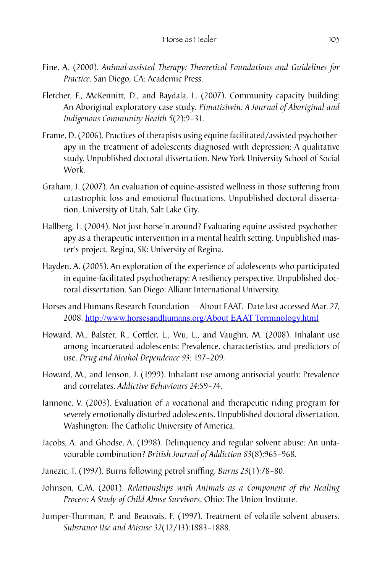- Fine, A. (2000). *Animal-assisted Therapy: Theoretical Foundations and Guidelines for Practice*. San Diego, CA: Academic Press.
- Fletcher, F., McKennitt, D., and Baydala, L. (2007). Community capacity building: An Aboriginal exploratory case study*. Pimatisiwin: A Journal of Aboriginal and Indigenous Community Health 5*(2):9–31.
- Frame, D. (2006). Practices of therapists using equine facilitated/assisted psychotherapy in the treatment of adolescents diagnosed with depression: A qualitative study. Unpublished doctoral dissertation. New York University School of Social Work.
- Graham, J. (2007). An evaluation of equine-assisted wellness in those suffering from catastrophic loss and emotional fluctuations. Unpublished doctoral dissertation, University of Utah, Salt Lake City.
- Hallberg, L. (2004). Not just horse'n around? Evaluating equine assisted psychotherapy as a therapeutic intervention in a mental health setting. Unpublished master's project. Regina, SK: University of Regina.
- Hayden, A. (2005). An exploration of the experience of adolescents who participated in equine-facilitated psychotherapy: A resiliency perspective. Unpublished doctoral dissertation. San Diego: Alliant International University.
- Horses and Humans Research Foundation About EAAT. Date last accessed Mar. 27, 2008. http://www.horsesandhumans.org/About EAAT Terminology.html
- Howard, M., Balster, R., Cottler, L., Wu, L., and Vaughn, M. (2008). Inhalant use among incarcerated adolescents: Prevalence, characteristics, and predictors of use. *Drug and Alcohol Dependence 93*: 197–209*.*
- Howard, M., and Jenson, J. (1999). Inhalant use among antisocial youth: Prevalence and correlates. *Addictive Behaviours 24*:59–74.
- Iannone, V. (2003). Evaluation of a vocational and therapeutic riding program for severely emotionally disturbed adolescents. Unpublished doctoral dissertation. Washington: The Catholic University of America.
- Jacobs, A. and Ghodse, A. (1998). Delinquency and regular solvent abuse: An unfavourable combination? *British Journal of Addiction 83*(8):965–968.
- Janezic, T. (1997). Burns following petrol sniffing. *Burns 23*(1):78–80.
- Johnson, C.M. (2001). *Relationships with Animals as a Component of the Healing Process: A Study of Child Abuse Survivors*. Ohio: The Union Institute.
- Jumper-Thurman, P. and Beauvais, F. (1997). Treatment of volatile solvent abusers. *Substance Use and Misuse 32*(12/13):1883–1888.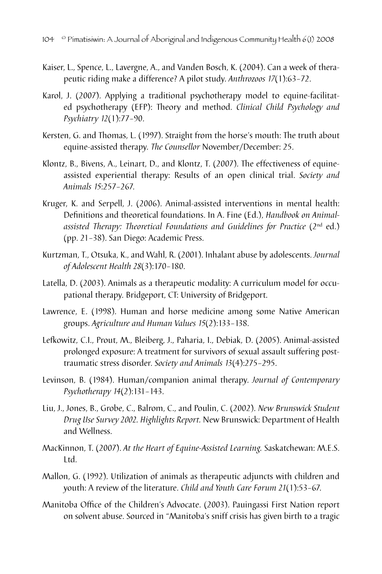- Kaiser, L., Spence, L., Lavergne, A., and Vanden Bosch, K. (2004). Can a week of therapeutic riding make a difference? A pilot study. *Anthrozoos 17*(1):63–72.
- Karol, J. (2007). Applying a traditional psychotherapy model to equine-facilitated psychotherapy (EFP): Theory and method. *Clinical Child Psychology and Psychiatry 12*(1):77–90.
- Kersten, G. and Thomas, L. (1997). Straight from the horse's mouth: The truth about equine-assisted therapy. *The Counsellor* November/December: 25.
- Klontz, B., Bivens, A., Leinart, D., and Klontz, T. (2007). The effectiveness of equineassisted experiential therapy: Results of an open clinical trial. *Society and Animals 15*:257–267.
- Kruger, K. and Serpell, J. (2006). Animal-assisted interventions in mental health: Definitions and theoretical foundations. In A. Fine (Ed.), *Handbook on Animal*assisted Therapy: Theoretical Foundations and Guidelines for Practice (2<sup>nd</sup> ed.) (pp. 21–38). San Diego: Academic Press.
- Kurtzman, T., Otsuka, K., and Wahl, R. (2001). Inhalant abuse by adolescents. *Journal of Adolescent Health 28*(3):170–180.
- Latella, D. (2003). Animals as a therapeutic modality: A curriculum model for occupational therapy. Bridgeport, CT: University of Bridgeport.
- Lawrence, E. (1998). Human and horse medicine among some Native American groups. *Agriculture and Human Values 15*(2):133–138.
- Lefkowitz, C.I., Prout, M., Bleiberg, J., Paharia, I., Debiak, D. (2005). Animal-assisted prolonged exposure: A treatment for survivors of sexual assault suffering posttraumatic stress disorder. *Society and Animals 13*(4):275–295.
- Levinson, B. (1984). Human/companion animal therapy. *Journal of Contemporary Psychotherapy 14*(2):131–143.
- Liu, J., Jones, B., Grobe, C., Balrom, C., and Poulin, C. (2002). *New Brunswick Student Drug Use Survey 2002. Highlights Report.* New Brunswick: Department of Health and Wellness.
- MacKinnon, T. (2007). *At the Heart of Equine-Assisted Learning.* Saskatchewan: M.E.S. Ltd.
- Mallon, G. (1992). Utilization of animals as therapeutic adjuncts with children and youth: A review of the literature. *Child and Youth Care Forum 21*(1):53–67.
- Manitoba Office of the Children's Advocate. (2003). Pauingassi First Nation report on solvent abuse. Sourced in "Manitoba's sniff crisis has given birth to a tragic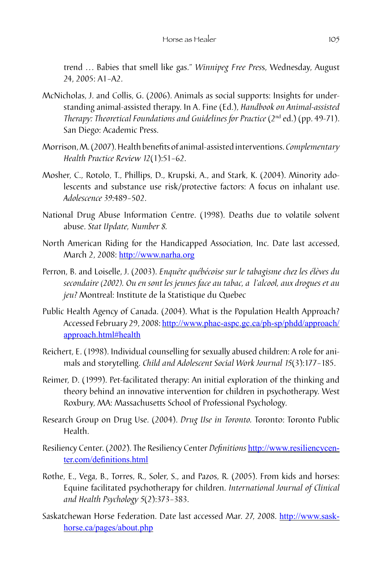trend ... Babies that smell like gas." *Winnipeg Free Press*, Wednesday, August 24, 2005: A1–A2.

- McNicholas, J. and Collis, G. (2006). Animals as social supports: Insights for understanding animal-assisted therapy. In A. Fine (Ed.), *Handbook on Animal-assisted Therapy: Theoretical Foundations and Guidelines for Practice* (2<sup>nd</sup> ed.) (pp. 49-71). San Diego: Academic Press.
- Morrison, M. (2007). Health benefits of animal-assisted interventions. *Complementary Health Practice Review 12*(1):51–62.
- Mosher, C., Rotolo, T., Phillips, D., Krupski, A., and Stark, K. (2004). Minority adolescents and substance use risk/protective factors: A focus on inhalant use. *Adolescence 39*:489–502.
- National Drug Abuse Information Centre. (1998). Deaths due to volatile solvent abuse. *Stat Update, Number 8.*
- North American Riding for the Handicapped Association, Inc. Date last accessed, March 2, 2008: <http://www.narha.org>
- Perron, B. and Loiselle, J. (2003). *Enquête québécoise sur le tabagisme chez les élèves du secondaire (2002). Ou en sont les jeunes face au tabac, a l'alcool, aux drogues et au jeu?* Montreal: Institute de la Statistique du Quebec
- Public Health Agency of Canada. (2004). What is the Population Health Approach? Accessed February 29, 2008: [http://www.phac-aspc.gc.ca/ph-sp/phdd/approach/](http://www.phac-aspc.gc.ca/ph-sp/phdd/approach/approach.html#health) [approach.html#health](http://www.phac-aspc.gc.ca/ph-sp/phdd/approach/approach.html#health)
- Reichert, E. (1998). Individual counselling for sexually abused children: A role for animals and storytelling. *Child and Adolescent Social Work Journal 15*(3):177–185.
- Reimer, D. (1999). Pet-facilitated therapy: An initial exploration of the thinking and theory behind an innovative intervention for children in psychotherapy. West Roxbury, MA: Massachusetts School of Professional Psychology.
- Research Group on Drug Use. (2004). *Drug Use in Toronto.* Toronto: Toronto Public Health.
- Resiliency Center. (2002). The Resiliency Center *Definitions* [http://www.resiliencycen](http://www.resiliencycenter.com/definitions.html)[ter.com/definitions.htm](http://www.resiliencycenter.com/definitions.html)l
- Rothe, E., Vega, B., Torres, R., Soler, S., and Pazos, R. (2005). From kids and horses: Equine facilitated psychotherapy for children. *International Journal of Clinical and Health Psychology 5*(2):373–383.
- Saskatchewan Horse Federation. Date last accessed Mar. 27, 2008. http://www.saskhorse.ca/pages/about.php